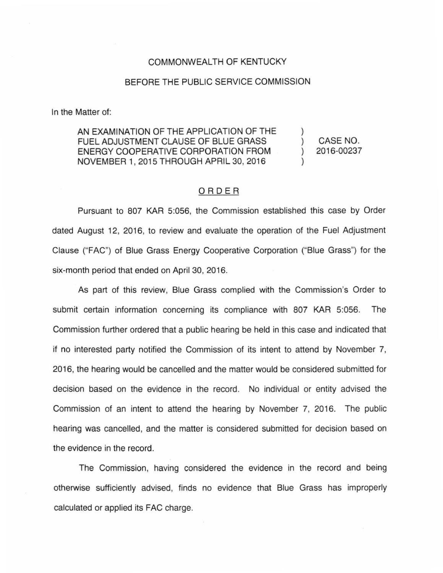## COMMONWEALTH OF KENTUCKY

## BEFORE THE PUBLIC SERVICE COMMISSION

In the Matter of:

AN EXAMINATION OF THE APPLICATION OF THE FUEL ADJUSTMENT CLAUSE OF BLUE GRASS ENERGY COOPERATIVE CORPORATION FROM NOVEMBER 1, 2015 THROUGH APRIL 30, 2016

) CASE NO. ) 2016-00237

)

)

## ORDER

Pursuant to 807 KAR 5:056, the Commission established this case by Order dated August 12, 2016, to review and evaluate the operation of the Fuel Adjustment Clause ("FAC") of Blue Grass Energy Cooperative Corporation ("Blue Grass") for the six-month period that ended on April 30, 2016.

As part of this review, Blue Grass complied with the Commission's Order to submit certain information concerning its compliance with 807 KAR 5:056. The Commission further ordered that a public hearing be held in this case and indicated that if no interested party notified the Commission of its intent to attend by November 7, 2016, the hearing would be cancelled and the matter would be considered submitted for decision based on the evidence in the record. No individual or entity advised the Commission of an intent to attend the hearing by November 7, 2016. The public hearing was cancelled, and the matter is considered submitted for decision based on the evidence in the record.

The Commission, having considered the evidence in the record and being otherwise sufficiently advised, finds no evidence that Blue Grass has improperly calculated or applied its FAC charge.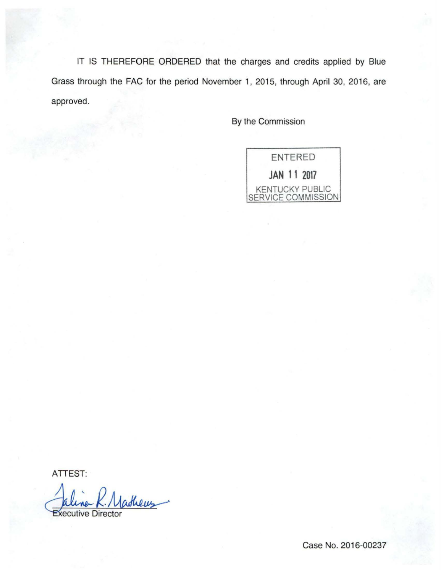IT IS THEREFORE ORDERED that the charges and credits applied by Blue Grass through the FAC for the period November 1, 2015, through April 30, 2016, are approved.

By the Commission



ATTEST:

Jaline K. Mathews

Case No. 2016-00237